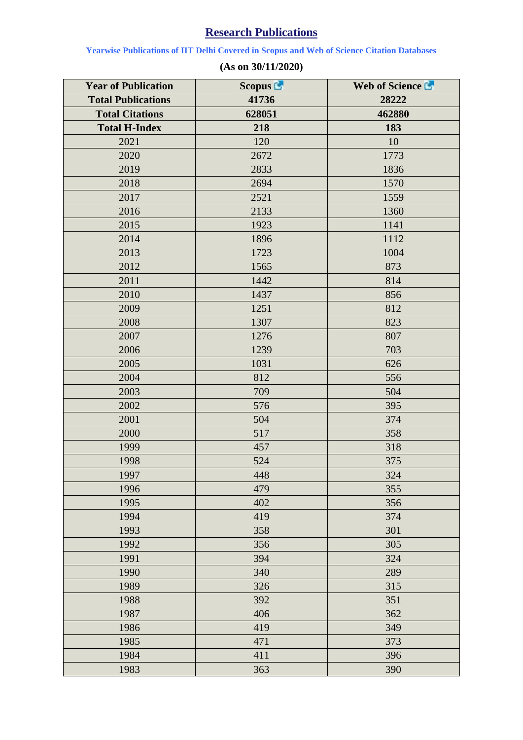## **Research Publications**

**Yearwise Publications of IIT Delhi Covered in Scopus and Web of Science Citation Databases**

| <b>Year of Publication</b> | Scopus <sup>1</sup> | Web of Science |
|----------------------------|---------------------|----------------|
| <b>Total Publications</b>  | 41736               | 28222          |
| <b>Total Citations</b>     | 628051              | 462880         |
| <b>Total H-Index</b>       | 218                 | 183            |
| 2021                       | 120                 | 10             |
| 2020                       | 2672                | 1773           |
| 2019                       | 2833                | 1836           |
| 2018                       | 2694                | 1570           |
| 2017                       | 2521                | 1559           |
| 2016                       | 2133                | 1360           |
| 2015                       | 1923                | 1141           |
| 2014                       | 1896                | 1112           |
| 2013                       | 1723                | 1004           |
| 2012                       | 1565                | 873            |
| 2011                       | 1442                | 814            |
| 2010                       | 1437                | 856            |
| 2009                       | 1251                | 812            |
| 2008                       | 1307                | 823            |
| 2007                       | 1276                | 807            |
| 2006                       | 1239                | 703            |
| 2005                       | 1031                | 626            |
| 2004                       | 812                 | 556            |
| 2003                       | 709                 | 504            |
| 2002                       | 576                 | 395            |
| 2001                       | 504                 | 374            |
| 2000                       | 517                 | 358            |
| 1999                       | 457                 | 318            |
| 1998                       | 524                 | 375            |
| 1997                       | 448                 | 324            |
| 1996                       | 479                 | 355            |
| 1995                       | 402                 | 356            |
| 1994                       | 419                 | 374            |
| 1993                       | 358                 | 301            |
| 1992                       | 356                 | 305            |
| 1991                       | 394                 | 324            |
| 1990                       | 340                 | 289            |
| 1989                       | 326                 | 315            |
| 1988                       | 392                 | 351            |
| 1987                       | 406                 | 362            |
| 1986                       | 419                 | 349            |
| 1985                       | 471                 | 373            |
| 1984                       | 411                 | 396            |
| 1983                       | 363                 | 390            |

## **(As on 30/11/2020)**